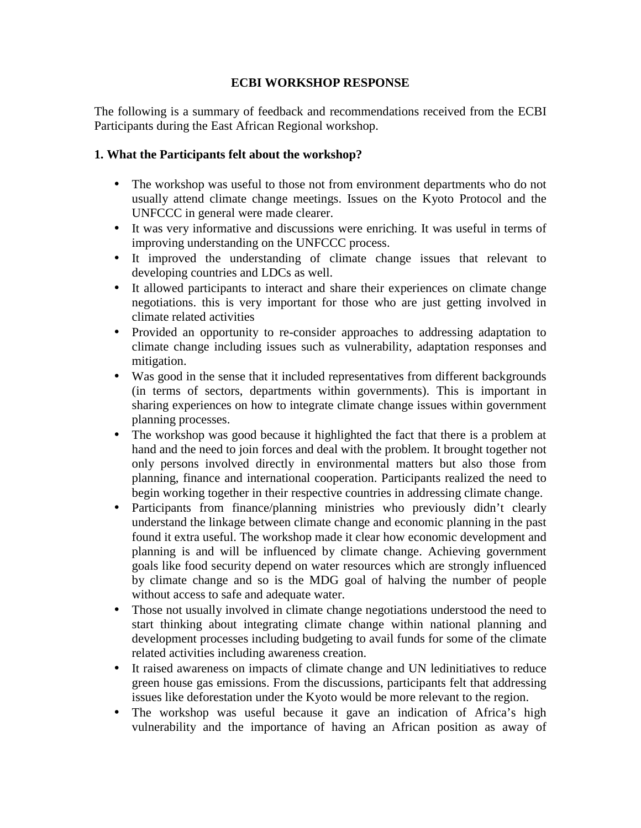## **ECBI WORKSHOP RESPONSE**

The following is a summary of feedback and recommendations received from the ECBI Participants during the East African Regional workshop.

## **1. What the Participants felt about the workshop?**

- The workshop was useful to those not from environment departments who do not usually attend climate change meetings. Issues on the Kyoto Protocol and the UNFCCC in general were made clearer.
- It was very informative and discussions were enriching. It was useful in terms of improving understanding on the UNFCCC process.
- It improved the understanding of climate change issues that relevant to developing countries and LDCs as well.
- It allowed participants to interact and share their experiences on climate change negotiations. this is very important for those who are just getting involved in climate related activities
- Provided an opportunity to re-consider approaches to addressing adaptation to climate change including issues such as vulnerability, adaptation responses and mitigation.
- Was good in the sense that it included representatives from different backgrounds (in terms of sectors, departments within governments). This is important in sharing experiences on how to integrate climate change issues within government planning processes.
- The workshop was good because it highlighted the fact that there is a problem at hand and the need to join forces and deal with the problem. It brought together not only persons involved directly in environmental matters but also those from planning, finance and international cooperation. Participants realized the need to begin working together in their respective countries in addressing climate change.
- Participants from finance/planning ministries who previously didn't clearly understand the linkage between climate change and economic planning in the past found it extra useful. The workshop made it clear how economic development and planning is and will be influenced by climate change. Achieving government goals like food security depend on water resources which are strongly influenced by climate change and so is the MDG goal of halving the number of people without access to safe and adequate water.
- Those not usually involved in climate change negotiations understood the need to start thinking about integrating climate change within national planning and development processes including budgeting to avail funds for some of the climate related activities including awareness creation.
- It raised awareness on impacts of climate change and UN ledinitiatives to reduce green house gas emissions. From the discussions, participants felt that addressing issues like deforestation under the Kyoto would be more relevant to the region.
- The workshop was useful because it gave an indication of Africa's high vulnerability and the importance of having an African position as away of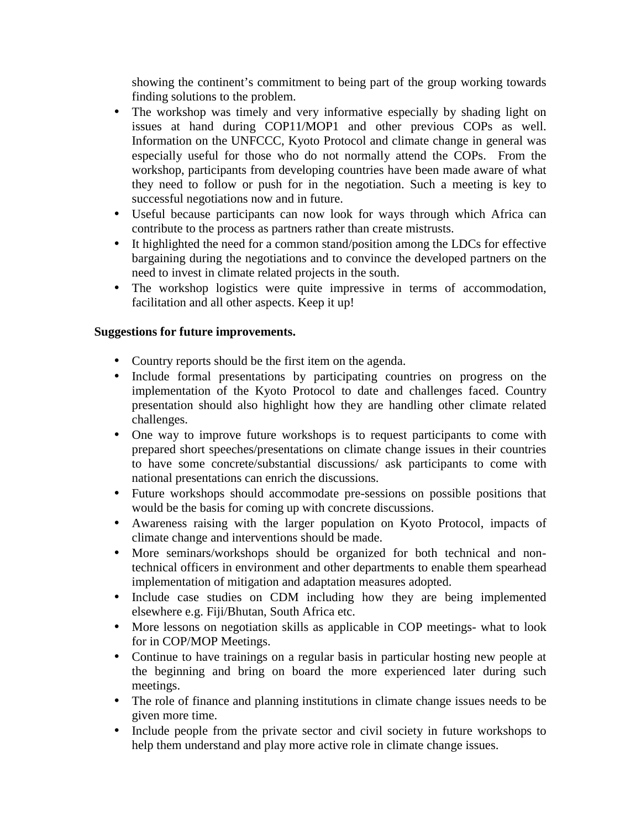showing the continent's commitment to being part of the group working towards finding solutions to the problem.

- The workshop was timely and very informative especially by shading light on issues at hand during COP11/MOP1 and other previous COPs as well. Information on the UNFCCC, Kyoto Protocol and climate change in general was especially useful for those who do not normally attend the COPs. From the workshop, participants from developing countries have been made aware of what they need to follow or push for in the negotiation. Such a meeting is key to successful negotiations now and in future.
- Useful because participants can now look for ways through which Africa can contribute to the process as partners rather than create mistrusts.
- It highlighted the need for a common stand/position among the LDCs for effective bargaining during the negotiations and to convince the developed partners on the need to invest in climate related projects in the south.
- The workshop logistics were quite impressive in terms of accommodation, facilitation and all other aspects. Keep it up!

## **Suggestions for future improvements.**

- Country reports should be the first item on the agenda.
- Include formal presentations by participating countries on progress on the implementation of the Kyoto Protocol to date and challenges faced. Country presentation should also highlight how they are handling other climate related challenges.
- One way to improve future workshops is to request participants to come with prepared short speeches/presentations on climate change issues in their countries to have some concrete/substantial discussions/ ask participants to come with national presentations can enrich the discussions.
- Future workshops should accommodate pre-sessions on possible positions that would be the basis for coming up with concrete discussions.
- Awareness raising with the larger population on Kyoto Protocol, impacts of climate change and interventions should be made.
- More seminars/workshops should be organized for both technical and nontechnical officers in environment and other departments to enable them spearhead implementation of mitigation and adaptation measures adopted.
- Include case studies on CDM including how they are being implemented elsewhere e.g. Fiji/Bhutan, South Africa etc.
- More lessons on negotiation skills as applicable in COP meetings- what to look for in COP/MOP Meetings.
- Continue to have trainings on a regular basis in particular hosting new people at the beginning and bring on board the more experienced later during such meetings.
- The role of finance and planning institutions in climate change issues needs to be given more time.
- Include people from the private sector and civil society in future workshops to help them understand and play more active role in climate change issues.